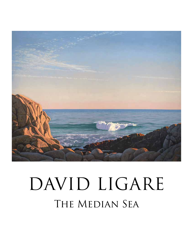

## The Median Sea DAVID LIGARE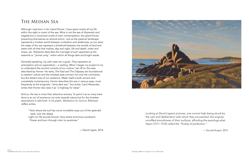## The Median Sea

Although I was born in far inland Illinois, I have spent nearly all my life within the sight or scent of the sea. Mine is not the sea of shipwreck and tragedy but a consonant world of calm contemplation; the grand forces presenting themselves as rational action. Just as the pastoral landscape represents a median world between civilization and wilderness, so too does the edge of the sea represent a threshold between the worlds of land and water with all that that implies; day and night, life and death, order and chaos, etc. Nietzsche describes the marriage of such opposites as the essential or "primal unity," within which all things dark and bright reside.

Generally speaking, my calm seas are a guise. They represent an anticipation and an expectation – a waiting. When I began my project to try to understand the ancient currents of our culture I set off on the seas described by Homer. His texts, The Iliad and The Odyssey are foundational to western culture and the timeless seas connect not only the continents, but the distant eras of our existence. Water itself is both ancient and completely contemporary. Homer describes the sea in various ways, most frequently as the enigmatic "wine-dark sea," but writer, Carol Alexander, writes that Homer also sees it as "a highway for ideas"

And so, the sea is more than attractive scenery. To paint it as so many have done is an act of reverence not only towards nature but for the timeless associations it calls forth. In his poem, *Meditation for Saviors*, Robinson Jeffers writes,

- "Here where the surf has come incredible ways out of the splendid west, over the deeps
- Light nor life sounds forever; here where enormous sundowns Flower and burn through color to quietness."

— David Ligare, 2016



*Looking at David Ligare's pictures, one connot help being struck by the care and deliberation with which they are painted, the singular, unruffled smoothness of their surfaces, affording the paintings what Vasari (1511–1574) called the "finality of perfection."*

— Donald Kuspit, 2015